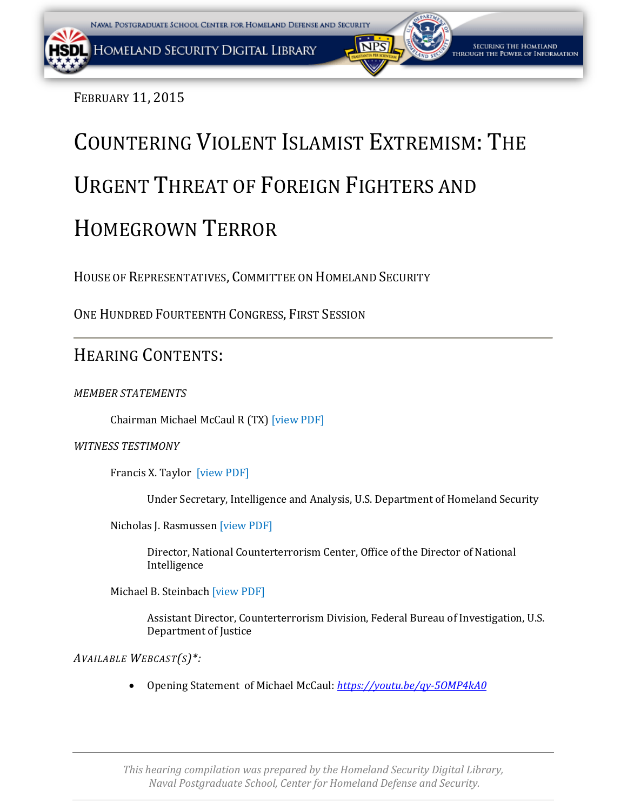FEBRUARY 11, 2015

# COUNTERING VIOLENT ISLAMIST EXTREMISM: THE URGENT THREAT OF FOREIGN FIGHTERS AND HOMEGROWN TERROR

HOUSE OF REPRESENTATIVES, COMMITTEE ON HOMELAND SECURITY

ONE HUNDRED FOURTEENTH CONGRESS, FIRST SESSION

## HEARING CONTENTS:

*MEMBER STATEMENTS*

Chairman Michael McCaul R (TX) [\[view PDF\]](#page-2-0)

#### *WITNESS TESTIMONY*

Francis X. Taylor [\[view PDF\]](#page-5-0)

Under Secretary, Intelligence and Analysis, U.S. Department of Homeland Security

Nicholas J. Rasmussen [\[view PDF\]](#page-13-0)

Director, National Counterterrorism Center, Office of the Director of National Intelligence

Michael B. Steinbach [\[view PDF\]](#page-18-0)

Assistant Director, Counterterrorism Division, Federal Bureau of Investigation, U.S. Department of Justice

*AVAILABLE WEBCAST(S)\*:*

• Opening Statement of Michael McCaul: *<https://youtu.be/qy-5OMP4kA0>*

*This hearing compilation was prepared by the Homeland Security Digital Library, Naval Postgraduate School, Center for Homeland Defense and Security.*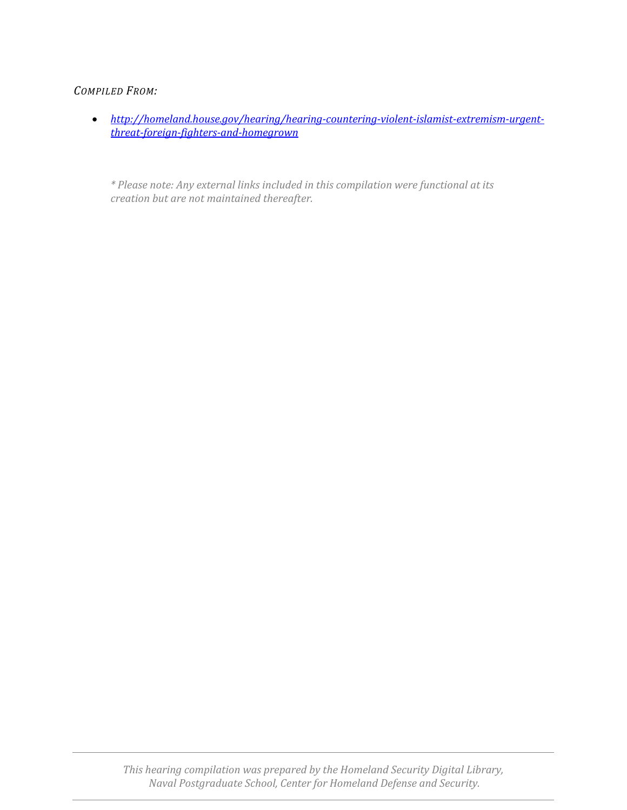#### *COMPILED FROM:*

• *http://homeland.house.gov/hearing/hearing-countering-violent-islamist-extremism-urgentthreat-foreign-fighters-and-homegrown*

*\* Please note: Any external links included in this compilation were functional at its creation but are not maintained thereafter.*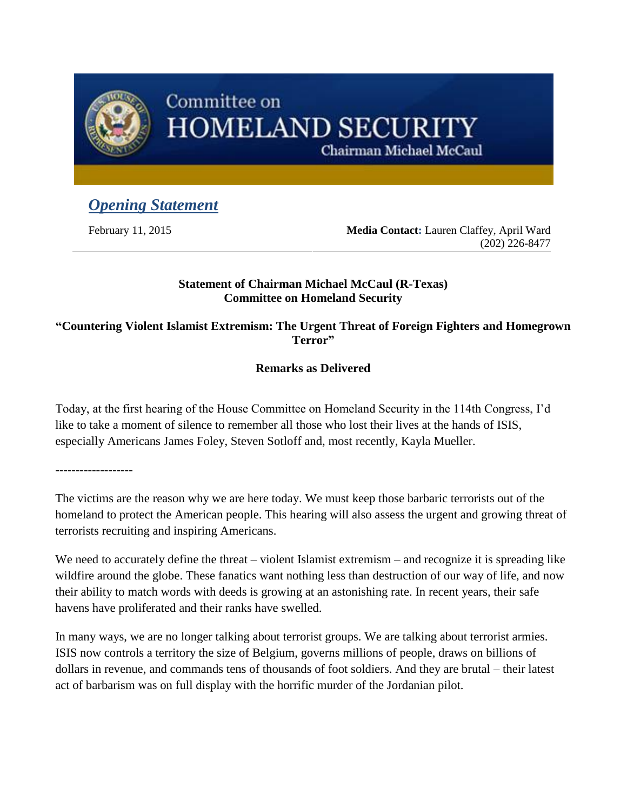<span id="page-2-0"></span>

## Committee on **HOMELAND SECURITY**

Chairman Michael McCaul

## *Opening Statement*

February 11, 2015 **Media Contact:** Lauren Claffey, April Ward (202) 226-8477

#### **Statement of Chairman Michael McCaul (R-Texas) Committee on Homeland Security**

**"Countering Violent Islamist Extremism: The Urgent Threat of Foreign Fighters and Homegrown Terror"**

### **Remarks as Delivered**

Today, at the first hearing of the House Committee on Homeland Security in the 114th Congress, I'd like to take a moment of silence to remember all those who lost their lives at the hands of ISIS, especially Americans James Foley, Steven Sotloff and, most recently, Kayla Mueller.

-------------------

The victims are the reason why we are here today. We must keep those barbaric terrorists out of the homeland to protect the American people. This hearing will also assess the urgent and growing threat of terrorists recruiting and inspiring Americans.

We need to accurately define the threat – violent Islamist extremism – and recognize it is spreading like wildfire around the globe. These fanatics want nothing less than destruction of our way of life, and now their ability to match words with deeds is growing at an astonishing rate. In recent years, their safe havens have proliferated and their ranks have swelled.

In many ways, we are no longer talking about terrorist groups. We are talking about terrorist armies. ISIS now controls a territory the size of Belgium, governs millions of people, draws on billions of dollars in revenue, and commands tens of thousands of foot soldiers. And they are brutal – their latest act of barbarism was on full display with the horrific murder of the Jordanian pilot.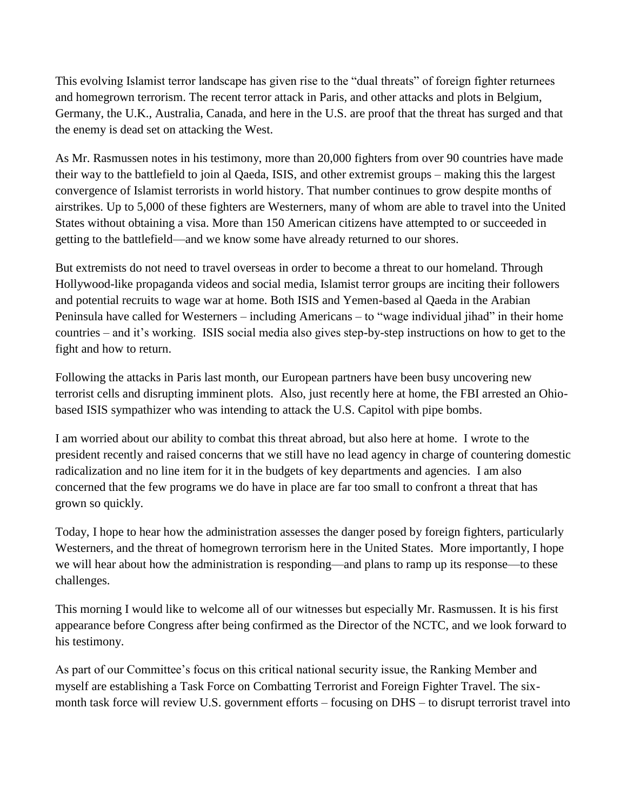This evolving Islamist terror landscape has given rise to the "dual threats" of foreign fighter returnees and homegrown terrorism. The recent terror attack in Paris, and other attacks and plots in Belgium, Germany, the U.K., Australia, Canada, and here in the U.S. are proof that the threat has surged and that the enemy is dead set on attacking the West.

As Mr. Rasmussen notes in his testimony, more than 20,000 fighters from over 90 countries have made their way to the battlefield to join al Qaeda, ISIS, and other extremist groups – making this the largest convergence of Islamist terrorists in world history. That number continues to grow despite months of airstrikes. Up to 5,000 of these fighters are Westerners, many of whom are able to travel into the United States without obtaining a visa. More than 150 American citizens have attempted to or succeeded in getting to the battlefield—and we know some have already returned to our shores.

But extremists do not need to travel overseas in order to become a threat to our homeland. Through Hollywood-like propaganda videos and social media, Islamist terror groups are inciting their followers and potential recruits to wage war at home. Both ISIS and Yemen-based al Qaeda in the Arabian Peninsula have called for Westerners – including Americans – to "wage individual jihad" in their home countries – and it's working. ISIS social media also gives step-by-step instructions on how to get to the fight and how to return.

Following the attacks in Paris last month, our European partners have been busy uncovering new terrorist cells and disrupting imminent plots. Also, just recently here at home, the FBI arrested an Ohiobased ISIS sympathizer who was intending to attack the U.S. Capitol with pipe bombs.

I am worried about our ability to combat this threat abroad, but also here at home. I wrote to the president recently and raised concerns that we still have no lead agency in charge of countering domestic radicalization and no line item for it in the budgets of key departments and agencies. I am also concerned that the few programs we do have in place are far too small to confront a threat that has grown so quickly.

Today, I hope to hear how the administration assesses the danger posed by foreign fighters, particularly Westerners, and the threat of homegrown terrorism here in the United States. More importantly, I hope we will hear about how the administration is responding—and plans to ramp up its response—to these challenges.

This morning I would like to welcome all of our witnesses but especially Mr. Rasmussen. It is his first appearance before Congress after being confirmed as the Director of the NCTC, and we look forward to his testimony.

As part of our Committee's focus on this critical national security issue, the Ranking Member and myself are establishing a Task Force on Combatting Terrorist and Foreign Fighter Travel. The sixmonth task force will review U.S. government efforts – focusing on DHS – to disrupt terrorist travel into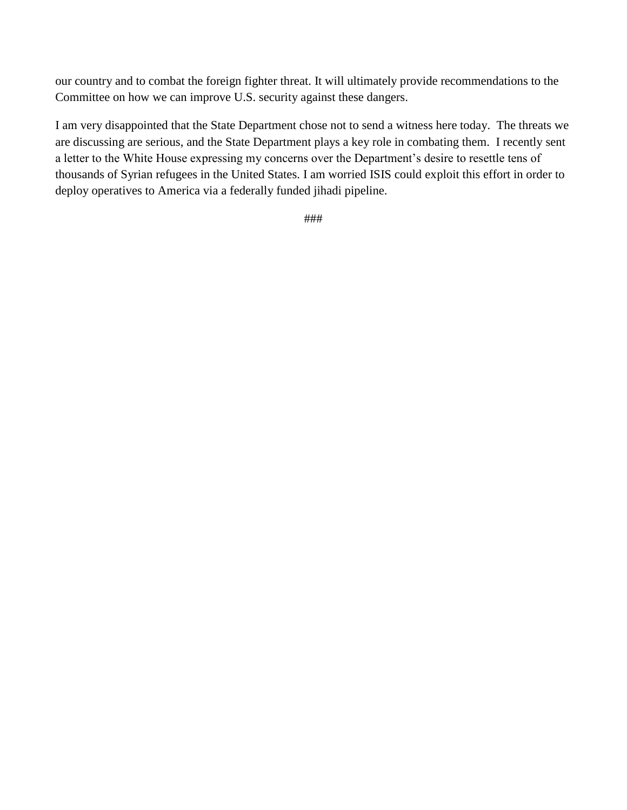our country and to combat the foreign fighter threat. It will ultimately provide recommendations to the Committee on how we can improve U.S. security against these dangers.

I am very disappointed that the State Department chose not to send a witness here today. The threats we are discussing are serious, and the State Department plays a key role in combating them. I recently sent a letter to the White House expressing my concerns over the Department's desire to resettle tens of thousands of Syrian refugees in the United States. I am worried ISIS could exploit this effort in order to deploy operatives to America via a federally funded jihadi pipeline.

###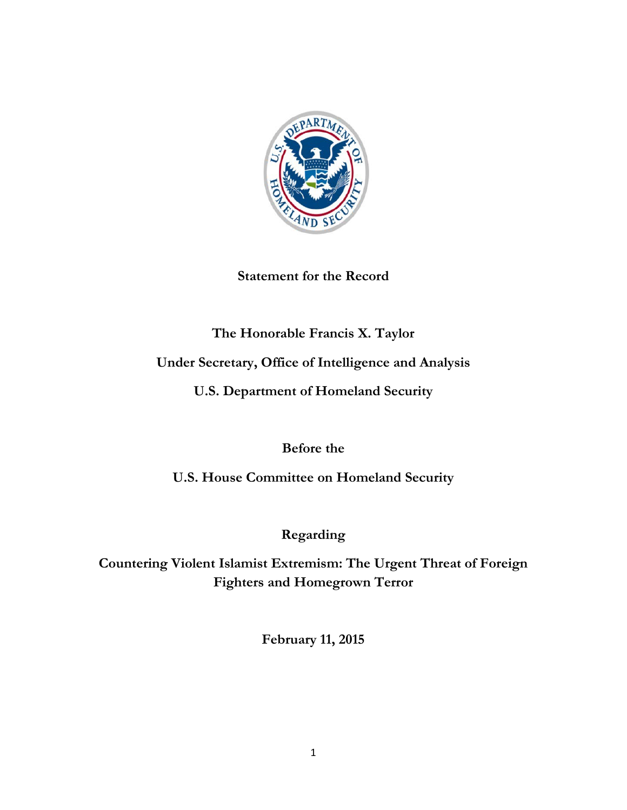<span id="page-5-0"></span>

**Statement for the Record**

## **The Honorable Francis X. Taylor**

## **Under Secretary, Office of Intelligence and Analysis**

**U.S. Department of Homeland Security**

**Before the**

**U.S. House Committee on Homeland Security**

**Regarding**

**Countering Violent Islamist Extremism: The Urgent Threat of Foreign Fighters and Homegrown Terror**

**February 11, 2015**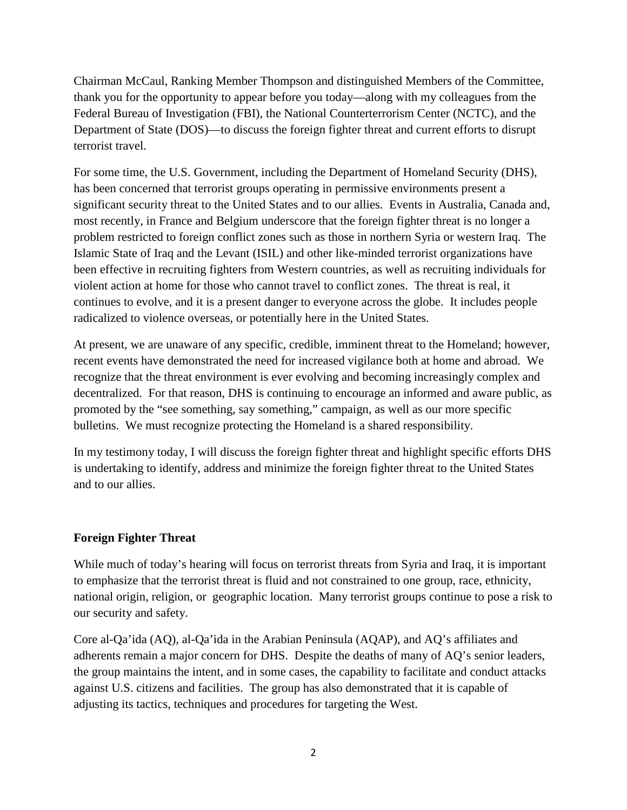Chairman McCaul, Ranking Member Thompson and distinguished Members of the Committee, thank you for the opportunity to appear before you today—along with my colleagues from the Federal Bureau of Investigation (FBI), the National Counterterrorism Center (NCTC), and the Department of State (DOS)—to discuss the foreign fighter threat and current efforts to disrupt terrorist travel.

For some time, the U.S. Government, including the Department of Homeland Security (DHS), has been concerned that terrorist groups operating in permissive environments present a significant security threat to the United States and to our allies. Events in Australia, Canada and, most recently, in France and Belgium underscore that the foreign fighter threat is no longer a problem restricted to foreign conflict zones such as those in northern Syria or western Iraq. The Islamic State of Iraq and the Levant (ISIL) and other like-minded terrorist organizations have been effective in recruiting fighters from Western countries, as well as recruiting individuals for violent action at home for those who cannot travel to conflict zones. The threat is real, it continues to evolve, and it is a present danger to everyone across the globe. It includes people radicalized to violence overseas, or potentially here in the United States.

At present, we are unaware of any specific, credible, imminent threat to the Homeland; however, recent events have demonstrated the need for increased vigilance both at home and abroad. We recognize that the threat environment is ever evolving and becoming increasingly complex and decentralized. For that reason, DHS is continuing to encourage an informed and aware public, as promoted by the "see something, say something," campaign, as well as our more specific bulletins. We must recognize protecting the Homeland is a shared responsibility.

In my testimony today, I will discuss the foreign fighter threat and highlight specific efforts DHS is undertaking to identify, address and minimize the foreign fighter threat to the United States and to our allies.

#### **Foreign Fighter Threat**

While much of today's hearing will focus on terrorist threats from Syria and Iraq, it is important to emphasize that the terrorist threat is fluid and not constrained to one group, race, ethnicity, national origin, religion, or geographic location. Many terrorist groups continue to pose a risk to our security and safety.

Core al-Qa'ida (AQ), al-Qa'ida in the Arabian Peninsula (AQAP), and AQ's affiliates and adherents remain a major concern for DHS. Despite the deaths of many of AQ's senior leaders, the group maintains the intent, and in some cases, the capability to facilitate and conduct attacks against U.S. citizens and facilities. The group has also demonstrated that it is capable of adjusting its tactics, techniques and procedures for targeting the West.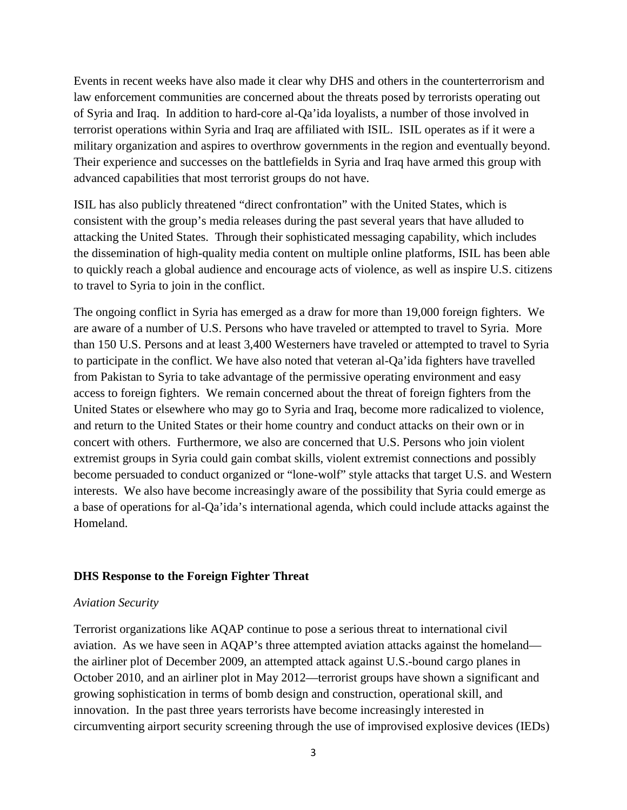Events in recent weeks have also made it clear why DHS and others in the counterterrorism and law enforcement communities are concerned about the threats posed by terrorists operating out of Syria and Iraq. In addition to hard-core al-Qa'ida loyalists, a number of those involved in terrorist operations within Syria and Iraq are affiliated with ISIL. ISIL operates as if it were a military organization and aspires to overthrow governments in the region and eventually beyond. Their experience and successes on the battlefields in Syria and Iraq have armed this group with advanced capabilities that most terrorist groups do not have.

ISIL has also publicly threatened "direct confrontation" with the United States, which is consistent with the group's media releases during the past several years that have alluded to attacking the United States. Through their sophisticated messaging capability, which includes the dissemination of high-quality media content on multiple online platforms, ISIL has been able to quickly reach a global audience and encourage acts of violence, as well as inspire U.S. citizens to travel to Syria to join in the conflict.

The ongoing conflict in Syria has emerged as a draw for more than 19,000 foreign fighters. We are aware of a number of U.S. Persons who have traveled or attempted to travel to Syria. More than 150 U.S. Persons and at least 3,400 Westerners have traveled or attempted to travel to Syria to participate in the conflict. We have also noted that veteran al-Qa'ida fighters have travelled from Pakistan to Syria to take advantage of the permissive operating environment and easy access to foreign fighters. We remain concerned about the threat of foreign fighters from the United States or elsewhere who may go to Syria and Iraq, become more radicalized to violence, and return to the United States or their home country and conduct attacks on their own or in concert with others. Furthermore, we also are concerned that U.S. Persons who join violent extremist groups in Syria could gain combat skills, violent extremist connections and possibly become persuaded to conduct organized or "lone-wolf" style attacks that target U.S. and Western interests. We also have become increasingly aware of the possibility that Syria could emerge as a base of operations for al-Qa'ida's international agenda, which could include attacks against the Homeland.

#### **DHS Response to the Foreign Fighter Threat**

#### *Aviation Security*

Terrorist organizations like AQAP continue to pose a serious threat to international civil aviation. As we have seen in AQAP's three attempted aviation attacks against the homeland the airliner plot of December 2009, an attempted attack against U.S.-bound cargo planes in October 2010, and an airliner plot in May 2012—terrorist groups have shown a significant and growing sophistication in terms of bomb design and construction, operational skill, and innovation. In the past three years terrorists have become increasingly interested in circumventing airport security screening through the use of improvised explosive devices (IEDs)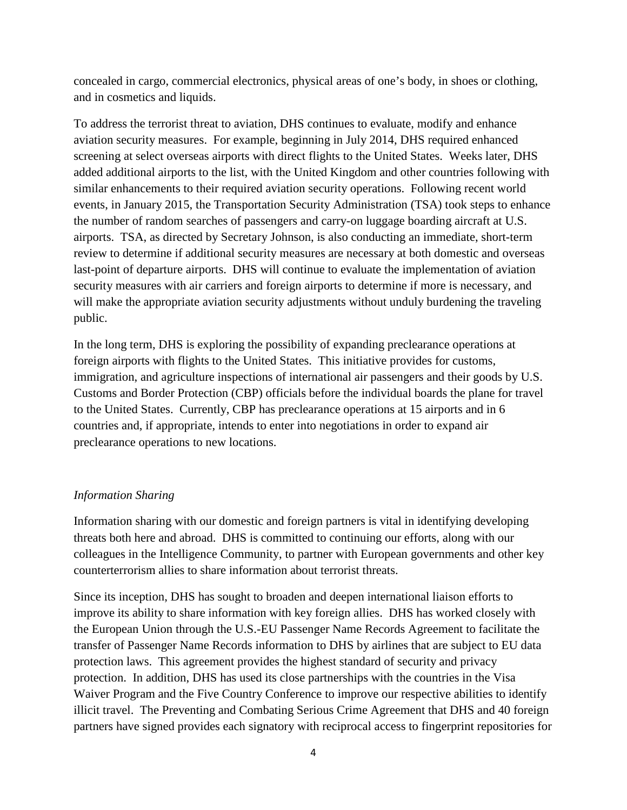concealed in cargo, commercial electronics, physical areas of one's body, in shoes or clothing, and in cosmetics and liquids.

To address the terrorist threat to aviation, DHS continues to evaluate, modify and enhance aviation security measures. For example, beginning in July 2014, DHS required enhanced screening at select overseas airports with direct flights to the United States. Weeks later, DHS added additional airports to the list, with the United Kingdom and other countries following with similar enhancements to their required aviation security operations. Following recent world events, in January 2015, the Transportation Security Administration (TSA) took steps to enhance the number of random searches of passengers and carry-on luggage boarding aircraft at U.S. airports. TSA, as directed by Secretary Johnson, is also conducting an immediate, short-term review to determine if additional security measures are necessary at both domestic and overseas last-point of departure airports. DHS will continue to evaluate the implementation of aviation security measures with air carriers and foreign airports to determine if more is necessary, and will make the appropriate aviation security adjustments without unduly burdening the traveling public.

In the long term, DHS is exploring the possibility of expanding preclearance operations at foreign airports with flights to the United States. This initiative provides for customs, immigration, and agriculture inspections of international air passengers and their goods by U.S. Customs and Border Protection (CBP) officials before the individual boards the plane for travel to the United States. Currently, CBP has preclearance operations at 15 airports and in 6 countries and, if appropriate, intends to enter into negotiations in order to expand air preclearance operations to new locations.

#### *Information Sharing*

Information sharing with our domestic and foreign partners is vital in identifying developing threats both here and abroad. DHS is committed to continuing our efforts, along with our colleagues in the Intelligence Community, to partner with European governments and other key counterterrorism allies to share information about terrorist threats.

Since its inception, DHS has sought to broaden and deepen international liaison efforts to improve its ability to share information with key foreign allies. DHS has worked closely with the European Union through the U.S.-EU Passenger Name Records Agreement to facilitate the transfer of Passenger Name Records information to DHS by airlines that are subject to EU data protection laws. This agreement provides the highest standard of security and privacy protection. In addition, DHS has used its close partnerships with the countries in the Visa Waiver Program and the Five Country Conference to improve our respective abilities to identify illicit travel. The Preventing and Combating Serious Crime Agreement that DHS and 40 foreign partners have signed provides each signatory with reciprocal access to fingerprint repositories for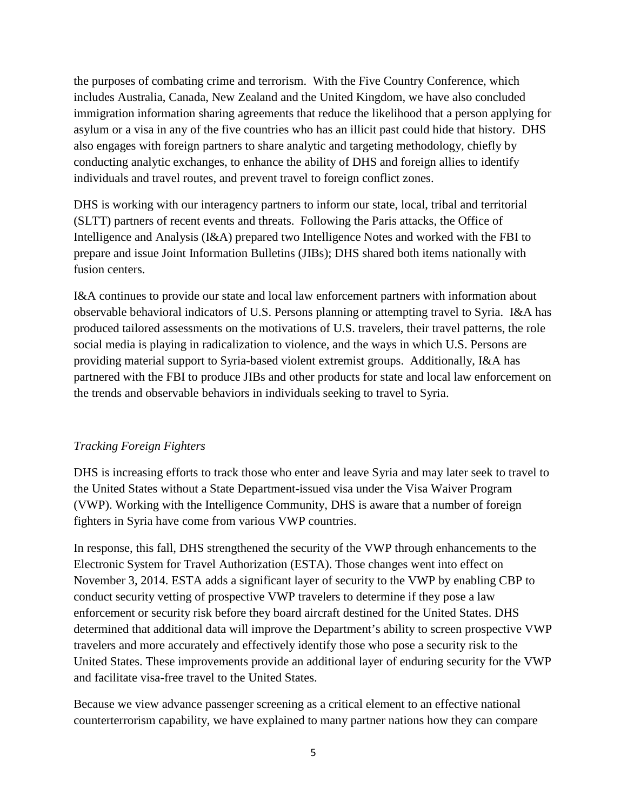the purposes of combating crime and terrorism. With the Five Country Conference, which includes Australia, Canada, New Zealand and the United Kingdom, we have also concluded immigration information sharing agreements that reduce the likelihood that a person applying for asylum or a visa in any of the five countries who has an illicit past could hide that history. DHS also engages with foreign partners to share analytic and targeting methodology, chiefly by conducting analytic exchanges, to enhance the ability of DHS and foreign allies to identify individuals and travel routes, and prevent travel to foreign conflict zones.

DHS is working with our interagency partners to inform our state, local, tribal and territorial (SLTT) partners of recent events and threats. Following the Paris attacks, the Office of Intelligence and Analysis (I&A) prepared two Intelligence Notes and worked with the FBI to prepare and issue Joint Information Bulletins (JIBs); DHS shared both items nationally with fusion centers.

I&A continues to provide our state and local law enforcement partners with information about observable behavioral indicators of U.S. Persons planning or attempting travel to Syria. I&A has produced tailored assessments on the motivations of U.S. travelers, their travel patterns, the role social media is playing in radicalization to violence, and the ways in which U.S. Persons are providing material support to Syria-based violent extremist groups. Additionally, I&A has partnered with the FBI to produce JIBs and other products for state and local law enforcement on the trends and observable behaviors in individuals seeking to travel to Syria.

#### *Tracking Foreign Fighters*

DHS is increasing efforts to track those who enter and leave Syria and may later seek to travel to the United States without a State Department-issued visa under the Visa Waiver Program (VWP). Working with the Intelligence Community, DHS is aware that a number of foreign fighters in Syria have come from various VWP countries.

In response, this fall, DHS strengthened the security of the VWP through enhancements to the Electronic System for Travel Authorization (ESTA). Those changes went into effect on November 3, 2014. ESTA adds a significant layer of security to the VWP by enabling CBP to conduct security vetting of prospective VWP travelers to determine if they pose a law enforcement or security risk before they board aircraft destined for the United States. DHS determined that additional data will improve the Department's ability to screen prospective VWP travelers and more accurately and effectively identify those who pose a security risk to the United States. These improvements provide an additional layer of enduring security for the VWP and facilitate visa-free travel to the United States.

Because we view advance passenger screening as a critical element to an effective national counterterrorism capability, we have explained to many partner nations how they can compare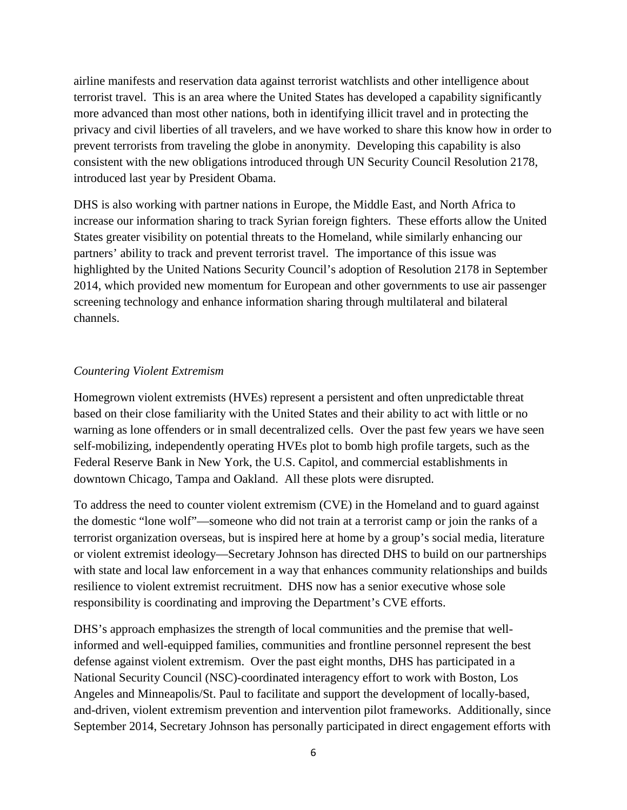airline manifests and reservation data against terrorist watchlists and other intelligence about terrorist travel. This is an area where the United States has developed a capability significantly more advanced than most other nations, both in identifying illicit travel and in protecting the privacy and civil liberties of all travelers, and we have worked to share this know how in order to prevent terrorists from traveling the globe in anonymity. Developing this capability is also consistent with the new obligations introduced through UN Security Council Resolution 2178, introduced last year by President Obama.

DHS is also working with partner nations in Europe, the Middle East, and North Africa to increase our information sharing to track Syrian foreign fighters. These efforts allow the United States greater visibility on potential threats to the Homeland, while similarly enhancing our partners' ability to track and prevent terrorist travel. The importance of this issue was highlighted by the United Nations Security Council's adoption of Resolution 2178 in September 2014, which provided new momentum for European and other governments to use air passenger screening technology and enhance information sharing through multilateral and bilateral channels.

#### *Countering Violent Extremism*

Homegrown violent extremists (HVEs) represent a persistent and often unpredictable threat based on their close familiarity with the United States and their ability to act with little or no warning as lone offenders or in small decentralized cells. Over the past few years we have seen self-mobilizing, independently operating HVEs plot to bomb high profile targets, such as the Federal Reserve Bank in New York, the U.S. Capitol, and commercial establishments in downtown Chicago, Tampa and Oakland. All these plots were disrupted.

To address the need to counter violent extremism (CVE) in the Homeland and to guard against the domestic "lone wolf"—someone who did not train at a terrorist camp or join the ranks of a terrorist organization overseas, but is inspired here at home by a group's social media, literature or violent extremist ideology—Secretary Johnson has directed DHS to build on our partnerships with state and local law enforcement in a way that enhances community relationships and builds resilience to violent extremist recruitment. DHS now has a senior executive whose sole responsibility is coordinating and improving the Department's CVE efforts.

DHS's approach emphasizes the strength of local communities and the premise that wellinformed and well-equipped families, communities and frontline personnel represent the best defense against violent extremism. Over the past eight months, DHS has participated in a National Security Council (NSC)-coordinated interagency effort to work with Boston, Los Angeles and Minneapolis/St. Paul to facilitate and support the development of locally-based, and-driven, violent extremism prevention and intervention pilot frameworks. Additionally, since September 2014, Secretary Johnson has personally participated in direct engagement efforts with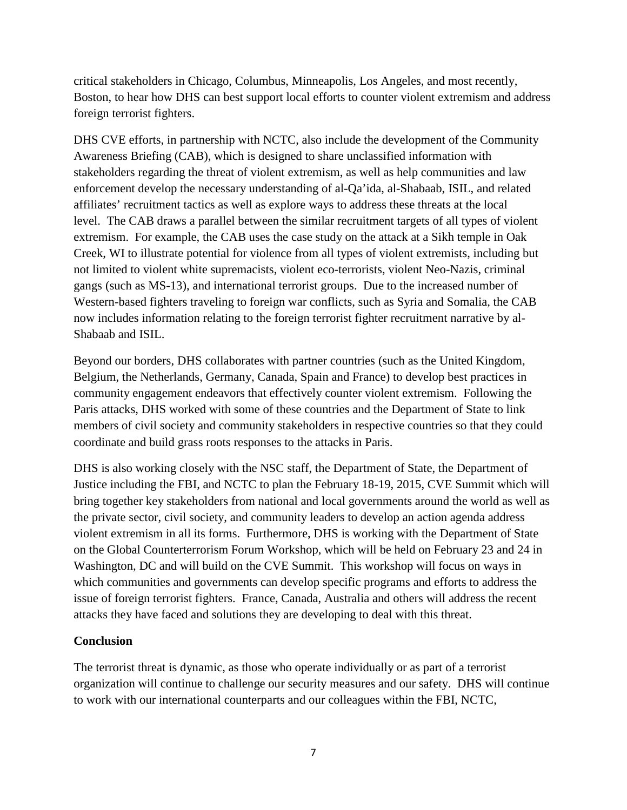critical stakeholders in Chicago, Columbus, Minneapolis, Los Angeles, and most recently, Boston, to hear how DHS can best support local efforts to counter violent extremism and address foreign terrorist fighters.

DHS CVE efforts, in partnership with NCTC, also include the development of the Community Awareness Briefing (CAB), which is designed to share unclassified information with stakeholders regarding the threat of violent extremism, as well as help communities and law enforcement develop the necessary understanding of al-Qa'ida, al-Shabaab, ISIL, and related affiliates' recruitment tactics as well as explore ways to address these threats at the local level. The CAB draws a parallel between the similar recruitment targets of all types of violent extremism. For example, the CAB uses the case study on the attack at a Sikh temple in Oak Creek, WI to illustrate potential for violence from all types of violent extremists, including but not limited to violent white supremacists, violent eco-terrorists, violent Neo-Nazis, criminal gangs (such as MS-13), and international terrorist groups. Due to the increased number of Western-based fighters traveling to foreign war conflicts, such as Syria and Somalia, the CAB now includes information relating to the foreign terrorist fighter recruitment narrative by al-Shabaab and ISIL.

Beyond our borders, DHS collaborates with partner countries (such as the United Kingdom, Belgium, the Netherlands, Germany, Canada, Spain and France) to develop best practices in community engagement endeavors that effectively counter violent extremism. Following the Paris attacks, DHS worked with some of these countries and the Department of State to link members of civil society and community stakeholders in respective countries so that they could coordinate and build grass roots responses to the attacks in Paris.

DHS is also working closely with the NSC staff, the Department of State, the Department of Justice including the FBI, and NCTC to plan the February 18-19, 2015, CVE Summit which will bring together key stakeholders from national and local governments around the world as well as the private sector, civil society, and community leaders to develop an action agenda address violent extremism in all its forms. Furthermore, DHS is working with the Department of State on the Global Counterterrorism Forum Workshop, which will be held on February 23 and 24 in Washington, DC and will build on the CVE Summit. This workshop will focus on ways in which communities and governments can develop specific programs and efforts to address the issue of foreign terrorist fighters. France, Canada, Australia and others will address the recent attacks they have faced and solutions they are developing to deal with this threat.

#### **Conclusion**

The terrorist threat is dynamic, as those who operate individually or as part of a terrorist organization will continue to challenge our security measures and our safety. DHS will continue to work with our international counterparts and our colleagues within the FBI, NCTC,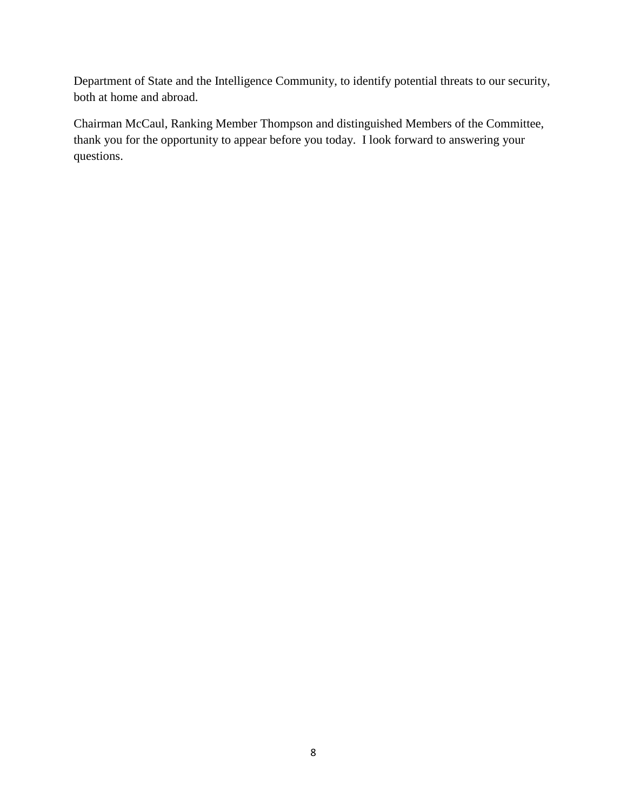Department of State and the Intelligence Community, to identify potential threats to our security, both at home and abroad.

Chairman McCaul, Ranking Member Thompson and distinguished Members of the Committee, thank you for the opportunity to appear before you today. I look forward to answering your questions.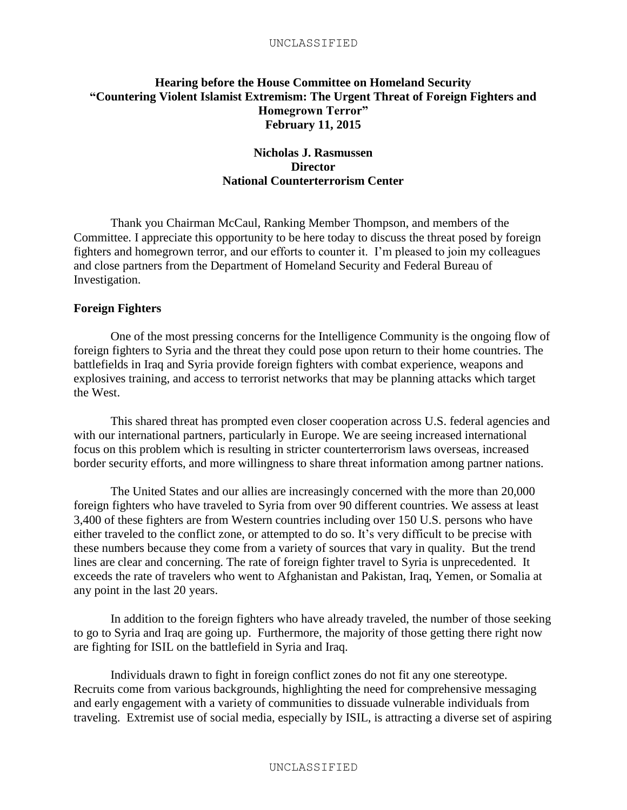#### <span id="page-13-0"></span>**Hearing before the House Committee on Homeland Security "Countering Violent Islamist Extremism: The Urgent Threat of Foreign Fighters and Homegrown Terror" February 11, 2015**

#### **Nicholas J. Rasmussen Director National Counterterrorism Center**

Thank you Chairman McCaul, Ranking Member Thompson, and members of the Committee. I appreciate this opportunity to be here today to discuss the threat posed by foreign fighters and homegrown terror, and our efforts to counter it. I'm pleased to join my colleagues and close partners from the Department of Homeland Security and Federal Bureau of Investigation.

#### **Foreign Fighters**

One of the most pressing concerns for the Intelligence Community is the ongoing flow of foreign fighters to Syria and the threat they could pose upon return to their home countries. The battlefields in Iraq and Syria provide foreign fighters with combat experience, weapons and explosives training, and access to terrorist networks that may be planning attacks which target the West.

This shared threat has prompted even closer cooperation across U.S. federal agencies and with our international partners, particularly in Europe. We are seeing increased international focus on this problem which is resulting in stricter counterterrorism laws overseas, increased border security efforts, and more willingness to share threat information among partner nations.

The United States and our allies are increasingly concerned with the more than 20,000 foreign fighters who have traveled to Syria from over 90 different countries. We assess at least 3,400 of these fighters are from Western countries including over 150 U.S. persons who have either traveled to the conflict zone, or attempted to do so. It's very difficult to be precise with these numbers because they come from a variety of sources that vary in quality. But the trend lines are clear and concerning. The rate of foreign fighter travel to Syria is unprecedented. It exceeds the rate of travelers who went to Afghanistan and Pakistan, Iraq, Yemen, or Somalia at any point in the last 20 years.

In addition to the foreign fighters who have already traveled, the number of those seeking to go to Syria and Iraq are going up. Furthermore, the majority of those getting there right now are fighting for ISIL on the battlefield in Syria and Iraq.

Individuals drawn to fight in foreign conflict zones do not fit any one stereotype. Recruits come from various backgrounds, highlighting the need for comprehensive messaging and early engagement with a variety of communities to dissuade vulnerable individuals from traveling. Extremist use of social media, especially by ISIL, is attracting a diverse set of aspiring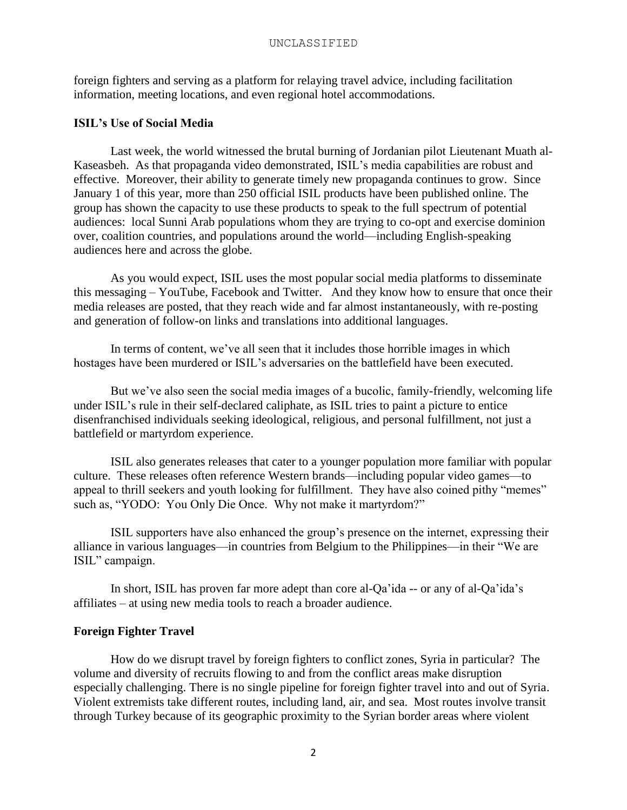foreign fighters and serving as a platform for relaying travel advice, including facilitation information, meeting locations, and even regional hotel accommodations.

#### **ISIL's Use of Social Media**

Last week, the world witnessed the brutal burning of Jordanian pilot Lieutenant Muath al-Kaseasbeh. As that propaganda video demonstrated, ISIL's media capabilities are robust and effective. Moreover, their ability to generate timely new propaganda continues to grow. Since January 1 of this year, more than 250 official ISIL products have been published online. The group has shown the capacity to use these products to speak to the full spectrum of potential audiences: local Sunni Arab populations whom they are trying to co-opt and exercise dominion over, coalition countries, and populations around the world—including English-speaking audiences here and across the globe.

As you would expect, ISIL uses the most popular social media platforms to disseminate this messaging – YouTube, Facebook and Twitter. And they know how to ensure that once their media releases are posted, that they reach wide and far almost instantaneously, with re-posting and generation of follow-on links and translations into additional languages.

In terms of content, we've all seen that it includes those horrible images in which hostages have been murdered or ISIL's adversaries on the battlefield have been executed.

But we've also seen the social media images of a bucolic, family-friendly, welcoming life under ISIL's rule in their self-declared caliphate, as ISIL tries to paint a picture to entice disenfranchised individuals seeking ideological, religious, and personal fulfillment, not just a battlefield or martyrdom experience.

ISIL also generates releases that cater to a younger population more familiar with popular culture. These releases often reference Western brands—including popular video games—to appeal to thrill seekers and youth looking for fulfillment. They have also coined pithy "memes" such as, "YODO: You Only Die Once. Why not make it martyrdom?"

ISIL supporters have also enhanced the group's presence on the internet, expressing their alliance in various languages—in countries from Belgium to the Philippines—in their "We are ISIL" campaign.

In short, ISIL has proven far more adept than core al-Qa'ida -- or any of al-Qa'ida's affiliates – at using new media tools to reach a broader audience.

#### **Foreign Fighter Travel**

How do we disrupt travel by foreign fighters to conflict zones, Syria in particular? The volume and diversity of recruits flowing to and from the conflict areas make disruption especially challenging. There is no single pipeline for foreign fighter travel into and out of Syria. Violent extremists take different routes, including land, air, and sea. Most routes involve transit through Turkey because of its geographic proximity to the Syrian border areas where violent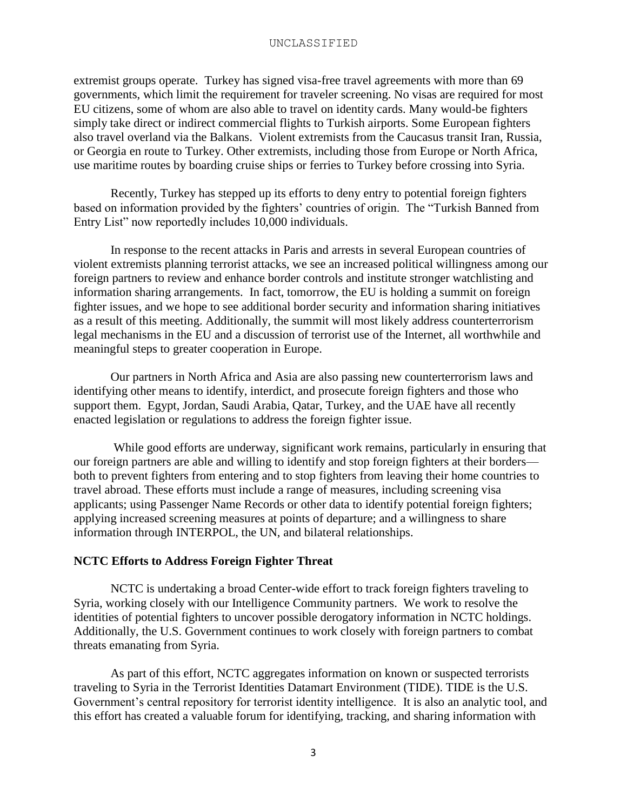extremist groups operate. Turkey has signed visa-free travel agreements with more than 69 governments, which limit the requirement for traveler screening. No visas are required for most EU citizens, some of whom are also able to travel on identity cards. Many would-be fighters simply take direct or indirect commercial flights to Turkish airports. Some European fighters also travel overland via the Balkans. Violent extremists from the Caucasus transit Iran, Russia, or Georgia en route to Turkey. Other extremists, including those from Europe or North Africa, use maritime routes by boarding cruise ships or ferries to Turkey before crossing into Syria.

Recently, Turkey has stepped up its efforts to deny entry to potential foreign fighters based on information provided by the fighters' countries of origin. The "Turkish Banned from Entry List" now reportedly includes 10,000 individuals.

In response to the recent attacks in Paris and arrests in several European countries of violent extremists planning terrorist attacks, we see an increased political willingness among our foreign partners to review and enhance border controls and institute stronger watchlisting and information sharing arrangements. In fact, tomorrow, the EU is holding a summit on foreign fighter issues, and we hope to see additional border security and information sharing initiatives as a result of this meeting. Additionally, the summit will most likely address counterterrorism legal mechanisms in the EU and a discussion of terrorist use of the Internet, all worthwhile and meaningful steps to greater cooperation in Europe.

Our partners in North Africa and Asia are also passing new counterterrorism laws and identifying other means to identify, interdict, and prosecute foreign fighters and those who support them. Egypt, Jordan, Saudi Arabia, Qatar, Turkey, and the UAE have all recently enacted legislation or regulations to address the foreign fighter issue.

While good efforts are underway, significant work remains, particularly in ensuring that our foreign partners are able and willing to identify and stop foreign fighters at their borders both to prevent fighters from entering and to stop fighters from leaving their home countries to travel abroad. These efforts must include a range of measures, including screening visa applicants; using Passenger Name Records or other data to identify potential foreign fighters; applying increased screening measures at points of departure; and a willingness to share information through INTERPOL, the UN, and bilateral relationships.

#### **NCTC Efforts to Address Foreign Fighter Threat**

NCTC is undertaking a broad Center-wide effort to track foreign fighters traveling to Syria, working closely with our Intelligence Community partners. We work to resolve the identities of potential fighters to uncover possible derogatory information in NCTC holdings. Additionally, the U.S. Government continues to work closely with foreign partners to combat threats emanating from Syria.

As part of this effort, NCTC aggregates information on known or suspected terrorists traveling to Syria in the Terrorist Identities Datamart Environment (TIDE). TIDE is the U.S. Government's central repository for terrorist identity intelligence. It is also an analytic tool, and this effort has created a valuable forum for identifying, tracking, and sharing information with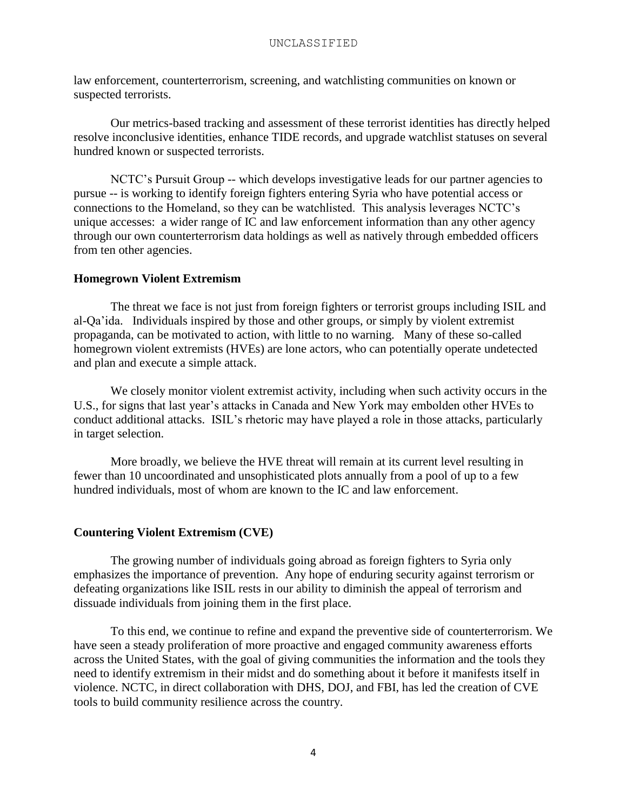law enforcement, counterterrorism, screening, and watchlisting communities on known or suspected terrorists.

Our metrics-based tracking and assessment of these terrorist identities has directly helped resolve inconclusive identities, enhance TIDE records, and upgrade watchlist statuses on several hundred known or suspected terrorists.

NCTC's Pursuit Group -- which develops investigative leads for our partner agencies to pursue -- is working to identify foreign fighters entering Syria who have potential access or connections to the Homeland, so they can be watchlisted. This analysis leverages NCTC's unique accesses: a wider range of IC and law enforcement information than any other agency through our own counterterrorism data holdings as well as natively through embedded officers from ten other agencies.

#### **Homegrown Violent Extremism**

The threat we face is not just from foreign fighters or terrorist groups including ISIL and al-Qa'ida. Individuals inspired by those and other groups, or simply by violent extremist propaganda, can be motivated to action, with little to no warning. Many of these so-called homegrown violent extremists (HVEs) are lone actors, who can potentially operate undetected and plan and execute a simple attack.

We closely monitor violent extremist activity, including when such activity occurs in the U.S., for signs that last year's attacks in Canada and New York may embolden other HVEs to conduct additional attacks. ISIL's rhetoric may have played a role in those attacks, particularly in target selection.

More broadly, we believe the HVE threat will remain at its current level resulting in fewer than 10 uncoordinated and unsophisticated plots annually from a pool of up to a few hundred individuals, most of whom are known to the IC and law enforcement.

#### **Countering Violent Extremism (CVE)**

The growing number of individuals going abroad as foreign fighters to Syria only emphasizes the importance of prevention. Any hope of enduring security against terrorism or defeating organizations like ISIL rests in our ability to diminish the appeal of terrorism and dissuade individuals from joining them in the first place.

To this end, we continue to refine and expand the preventive side of counterterrorism. We have seen a steady proliferation of more proactive and engaged community awareness efforts across the United States, with the goal of giving communities the information and the tools they need to identify extremism in their midst and do something about it before it manifests itself in violence. NCTC, in direct collaboration with DHS, DOJ, and FBI, has led the creation of CVE tools to build community resilience across the country.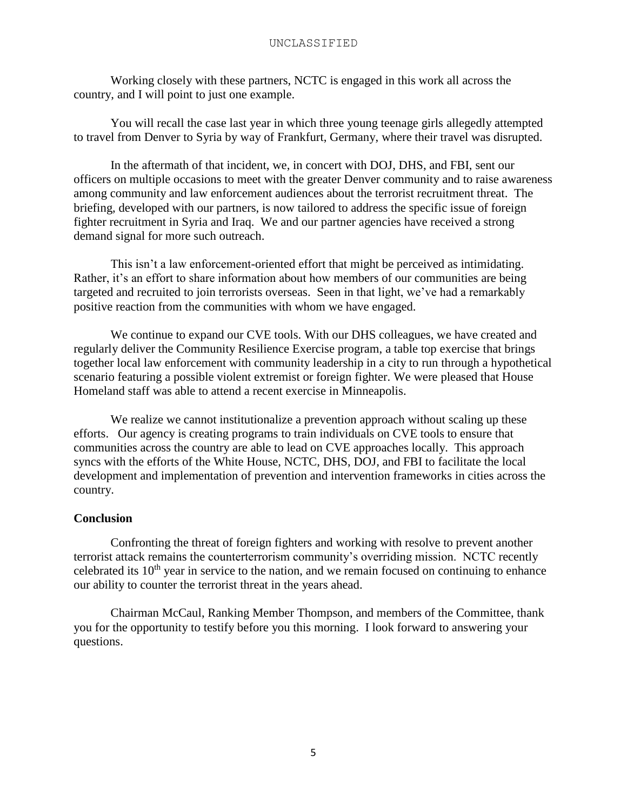Working closely with these partners, NCTC is engaged in this work all across the country, and I will point to just one example.

You will recall the case last year in which three young teenage girls allegedly attempted to travel from Denver to Syria by way of Frankfurt, Germany, where their travel was disrupted.

In the aftermath of that incident, we, in concert with DOJ, DHS, and FBI, sent our officers on multiple occasions to meet with the greater Denver community and to raise awareness among community and law enforcement audiences about the terrorist recruitment threat. The briefing, developed with our partners, is now tailored to address the specific issue of foreign fighter recruitment in Syria and Iraq. We and our partner agencies have received a strong demand signal for more such outreach.

This isn't a law enforcement-oriented effort that might be perceived as intimidating. Rather, it's an effort to share information about how members of our communities are being targeted and recruited to join terrorists overseas. Seen in that light, we've had a remarkably positive reaction from the communities with whom we have engaged.

We continue to expand our CVE tools. With our DHS colleagues, we have created and regularly deliver the Community Resilience Exercise program, a table top exercise that brings together local law enforcement with community leadership in a city to run through a hypothetical scenario featuring a possible violent extremist or foreign fighter. We were pleased that House Homeland staff was able to attend a recent exercise in Minneapolis.

We realize we cannot institutionalize a prevention approach without scaling up these efforts. Our agency is creating programs to train individuals on CVE tools to ensure that communities across the country are able to lead on CVE approaches locally. This approach syncs with the efforts of the White House, NCTC, DHS, DOJ, and FBI to facilitate the local development and implementation of prevention and intervention frameworks in cities across the country.

#### **Conclusion**

Confronting the threat of foreign fighters and working with resolve to prevent another terrorist attack remains the counterterrorism community's overriding mission. NCTC recently celebrated its  $10<sup>th</sup>$  year in service to the nation, and we remain focused on continuing to enhance our ability to counter the terrorist threat in the years ahead.

Chairman McCaul, Ranking Member Thompson, and members of the Committee, thank you for the opportunity to testify before you this morning. I look forward to answering your questions.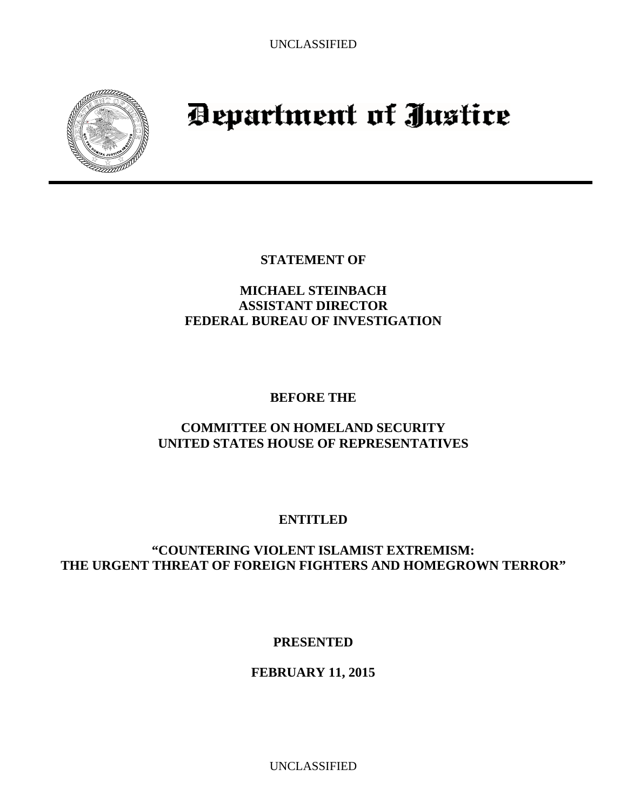<span id="page-18-0"></span>

# Department of Justice

**STATEMENT OF** 

## **MICHAEL STEINBACH ASSISTANT DIRECTOR FEDERAL BUREAU OF INVESTIGATION**

## **BEFORE THE**

## **COMMITTEE ON HOMELAND SECURITY UNITED STATES HOUSE OF REPRESENTATIVES**

## **ENTITLED**

## **"COUNTERING VIOLENT ISLAMIST EXTREMISM: THE URGENT THREAT OF FOREIGN FIGHTERS AND HOMEGROWN TERROR"**

**PRESENTED** 

## **FEBRUARY 11, 2015**

UNCLASSIFIED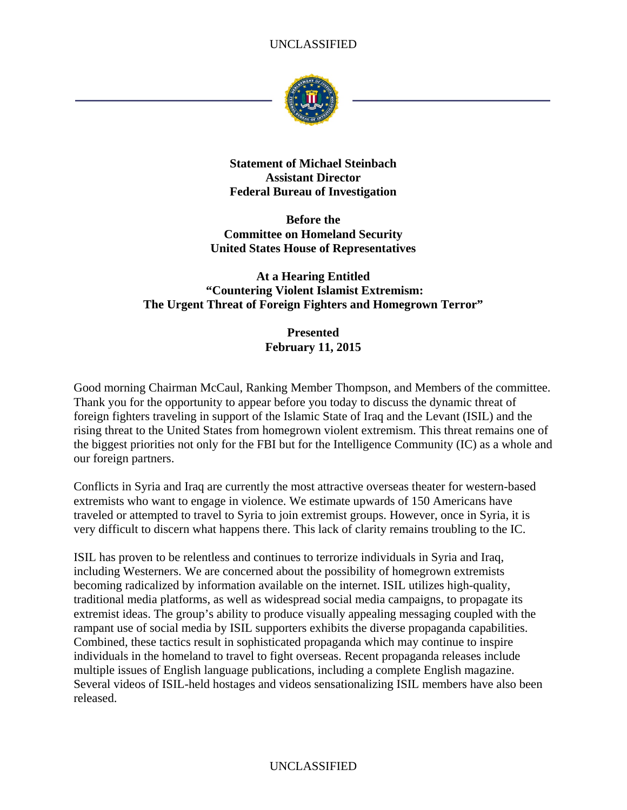

**Statement of Michael Steinbach Assistant Director Federal Bureau of Investigation** 

**Before the Committee on Homeland Security United States House of Representatives** 

#### **At a Hearing Entitled "Countering Violent Islamist Extremism: The Urgent Threat of Foreign Fighters and Homegrown Terror"**

**Presented February 11, 2015** 

Good morning Chairman McCaul, Ranking Member Thompson, and Members of the committee. Thank you for the opportunity to appear before you today to discuss the dynamic threat of foreign fighters traveling in support of the Islamic State of Iraq and the Levant (ISIL) and the rising threat to the United States from homegrown violent extremism. This threat remains one of the biggest priorities not only for the FBI but for the Intelligence Community (IC) as a whole and our foreign partners.

Conflicts in Syria and Iraq are currently the most attractive overseas theater for western-based extremists who want to engage in violence. We estimate upwards of 150 Americans have traveled or attempted to travel to Syria to join extremist groups. However, once in Syria, it is very difficult to discern what happens there. This lack of clarity remains troubling to the IC.

ISIL has proven to be relentless and continues to terrorize individuals in Syria and Iraq, including Westerners. We are concerned about the possibility of homegrown extremists becoming radicalized by information available on the internet. ISIL utilizes high-quality, traditional media platforms, as well as widespread social media campaigns, to propagate its extremist ideas. The group's ability to produce visually appealing messaging coupled with the rampant use of social media by ISIL supporters exhibits the diverse propaganda capabilities. Combined, these tactics result in sophisticated propaganda which may continue to inspire individuals in the homeland to travel to fight overseas. Recent propaganda releases include multiple issues of English language publications, including a complete English magazine. Several videos of ISIL-held hostages and videos sensationalizing ISIL members have also been released.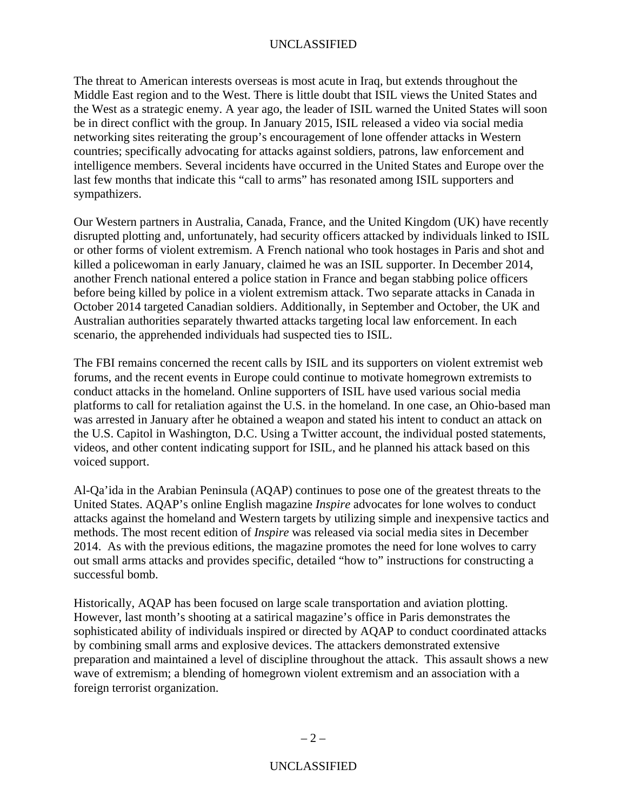The threat to American interests overseas is most acute in Iraq, but extends throughout the Middle East region and to the West. There is little doubt that ISIL views the United States and the West as a strategic enemy. A year ago, the leader of ISIL warned the United States will soon be in direct conflict with the group. In January 2015, ISIL released a video via social media networking sites reiterating the group's encouragement of lone offender attacks in Western countries; specifically advocating for attacks against soldiers, patrons, law enforcement and intelligence members. Several incidents have occurred in the United States and Europe over the last few months that indicate this "call to arms" has resonated among ISIL supporters and sympathizers.

Our Western partners in Australia, Canada, France, and the United Kingdom (UK) have recently disrupted plotting and, unfortunately, had security officers attacked by individuals linked to ISIL or other forms of violent extremism. A French national who took hostages in Paris and shot and killed a policewoman in early January, claimed he was an ISIL supporter. In December 2014, another French national entered a police station in France and began stabbing police officers before being killed by police in a violent extremism attack. Two separate attacks in Canada in October 2014 targeted Canadian soldiers. Additionally, in September and October, the UK and Australian authorities separately thwarted attacks targeting local law enforcement. In each scenario, the apprehended individuals had suspected ties to ISIL.

The FBI remains concerned the recent calls by ISIL and its supporters on violent extremist web forums, and the recent events in Europe could continue to motivate homegrown extremists to conduct attacks in the homeland. Online supporters of ISIL have used various social media platforms to call for retaliation against the U.S. in the homeland. In one case, an Ohio-based man was arrested in January after he obtained a weapon and stated his intent to conduct an attack on the U.S. Capitol in Washington, D.C. Using a Twitter account, the individual posted statements, videos, and other content indicating support for ISIL, and he planned his attack based on this voiced support.

Al-Qa'ida in the Arabian Peninsula (AQAP) continues to pose one of the greatest threats to the United States. AQAP's online English magazine *Inspire* advocates for lone wolves to conduct attacks against the homeland and Western targets by utilizing simple and inexpensive tactics and methods. The most recent edition of *Inspire* was released via social media sites in December 2014. As with the previous editions, the magazine promotes the need for lone wolves to carry out small arms attacks and provides specific, detailed "how to" instructions for constructing a successful bomb.

Historically, AQAP has been focused on large scale transportation and aviation plotting. However, last month's shooting at a satirical magazine's office in Paris demonstrates the sophisticated ability of individuals inspired or directed by AQAP to conduct coordinated attacks by combining small arms and explosive devices. The attackers demonstrated extensive preparation and maintained a level of discipline throughout the attack. This assault shows a new wave of extremism; a blending of homegrown violent extremism and an association with a foreign terrorist organization.